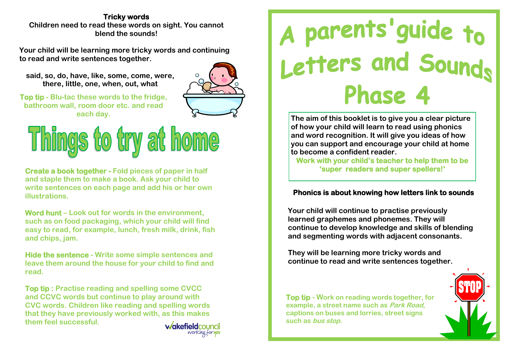### **Tricky words Children need to read these words on sight. You cannot blend the sounds!**

**Your child will be learning more tricky words and continuing to read and write sentences together.** 

**said, so, do, have, like, some, come, were, there, little, one, when, out, what** 



**Top tip - Blu-tac these words to the fridge, bathroom wall, room door etc. and read each day.** 



**Create a book together - Fold pieces of paper in half and staple them to make a book. Ask your child to write sentences on each page and add his or her own illustrations.**

**Word hunt – Look out for words in the environment, such as on food packaging, which your child will find easy to read, for example, lunch, fresh milk, drink, fish and chips, jam.** 

**Hide the sentence - Write some simple sentences and leave them around the house for your child to find and read.** 

**Top tip : Practise reading and spelling some CVCC and CCVC words but continue to play around with CVC words. Children like reading and spelling words that they have previously worked with, as this makes them feel successful.** 

**v/akefieldcounci** working foryou

# A parents' guide to<br>Letters and Sounds Phase 4

**The aim of this booklet is to give you a clear picture of how your child will learn to read using phonics and word recognition. It will give you ideas of how you can support and encourage your child at home to become a confident reader.**

**Work with your child's teacher to help them to be 'super readers and super spellers!'** 

## **Phonics is about knowing how letters link to sounds**

**Your child will continue to practise previously learned graphemes and phonemes. They will continue to develop knowledge and skills of blending and segmenting words with adjacent consonants.**

**They will be learning more tricky words and continue to read and write sentences together.**

**Top tip - Work on reading words together, for example, a street name such as Park Road, captions on buses and lorries, street signs such as bus stop.**